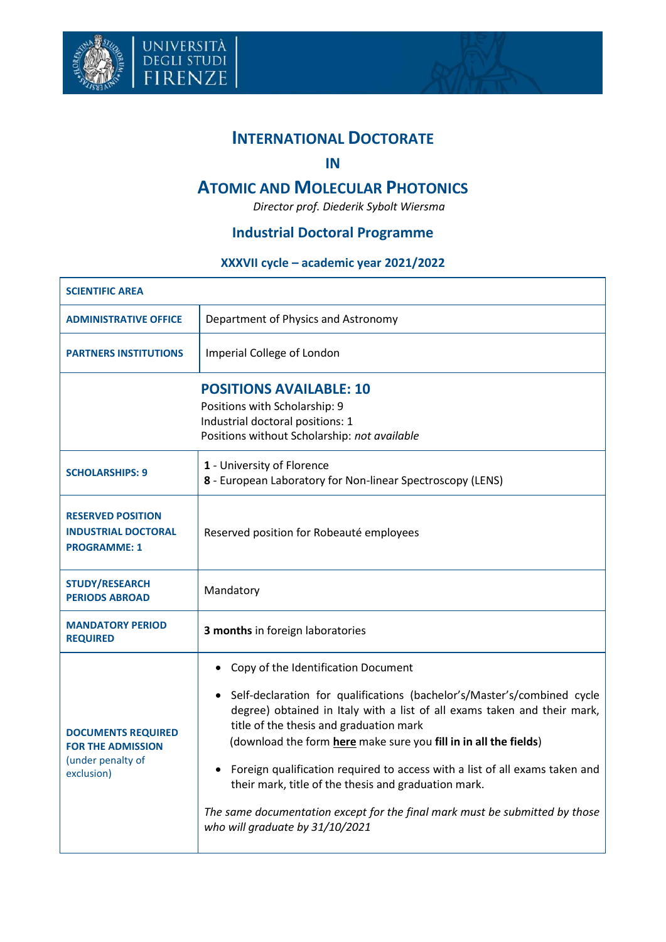

università<br>degli studi<br>FIRENZE



# **INTERNATIONAL DOCTORATE**

#### **IN**

## **ATOMIC AND MOLECULAR PHOTONICS**

*Director prof. Diederik Sybolt Wiersma*

### **Industrial Doctoral Programme**

#### **XXXVII cycle – academic year 2021/2022**

| <b>SCIENTIFIC AREA</b>                                                                   |                                                                                                                                                                                                                                                                                                                                                                                                                                                                                                                                                                             |  |
|------------------------------------------------------------------------------------------|-----------------------------------------------------------------------------------------------------------------------------------------------------------------------------------------------------------------------------------------------------------------------------------------------------------------------------------------------------------------------------------------------------------------------------------------------------------------------------------------------------------------------------------------------------------------------------|--|
| <b>ADMINISTRATIVE OFFICE</b>                                                             | Department of Physics and Astronomy                                                                                                                                                                                                                                                                                                                                                                                                                                                                                                                                         |  |
| <b>PARTNERS INSTITUTIONS</b>                                                             | Imperial College of London                                                                                                                                                                                                                                                                                                                                                                                                                                                                                                                                                  |  |
|                                                                                          | <b>POSITIONS AVAILABLE: 10</b><br>Positions with Scholarship: 9<br>Industrial doctoral positions: 1<br>Positions without Scholarship: not available                                                                                                                                                                                                                                                                                                                                                                                                                         |  |
| <b>SCHOLARSHIPS: 9</b>                                                                   | 1 - University of Florence<br>8 - European Laboratory for Non-linear Spectroscopy (LENS)                                                                                                                                                                                                                                                                                                                                                                                                                                                                                    |  |
| <b>RESERVED POSITION</b><br><b>INDUSTRIAL DOCTORAL</b><br><b>PROGRAMME: 1</b>            | Reserved position for Robeauté employees                                                                                                                                                                                                                                                                                                                                                                                                                                                                                                                                    |  |
| <b>STUDY/RESEARCH</b><br><b>PERIODS ABROAD</b>                                           | Mandatory                                                                                                                                                                                                                                                                                                                                                                                                                                                                                                                                                                   |  |
| <b>MANDATORY PERIOD</b><br><b>REQUIRED</b>                                               | 3 months in foreign laboratories                                                                                                                                                                                                                                                                                                                                                                                                                                                                                                                                            |  |
| <b>DOCUMENTS REQUIRED</b><br><b>FOR THE ADMISSION</b><br>(under penalty of<br>exclusion) | • Copy of the Identification Document<br>• Self-declaration for qualifications (bachelor's/Master's/combined cycle<br>degree) obtained in Italy with a list of all exams taken and their mark,<br>title of the thesis and graduation mark<br>(download the form here make sure you fill in in all the fields)<br>Foreign qualification required to access with a list of all exams taken and<br>٠<br>their mark, title of the thesis and graduation mark.<br>The same documentation except for the final mark must be submitted by those<br>who will graduate by 31/10/2021 |  |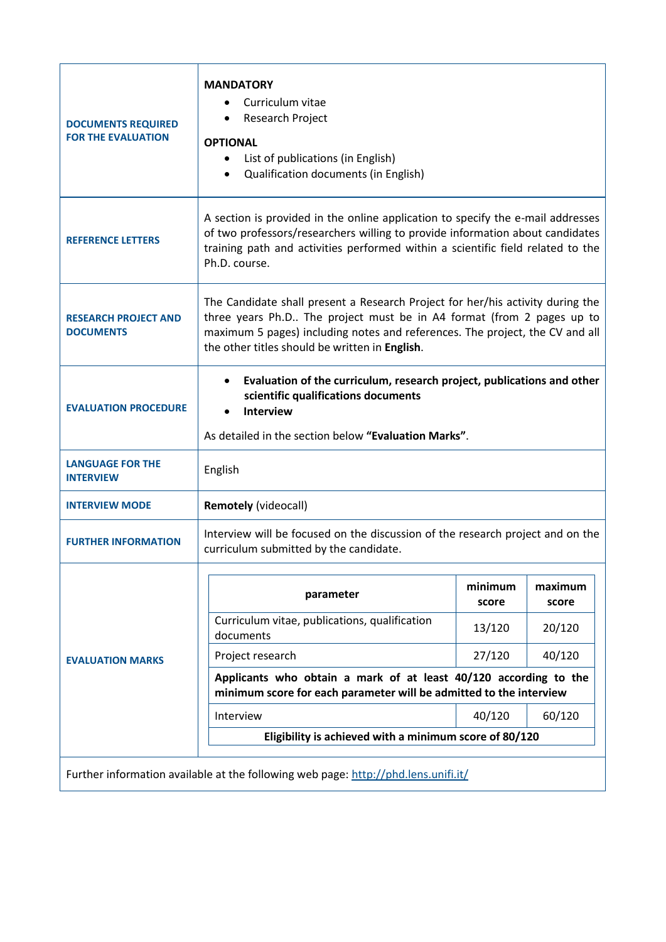| <b>DOCUMENTS REQUIRED</b><br><b>FOR THE EVALUATION</b>                             | <b>MANDATORY</b><br>Curriculum vitae<br>Research Project<br><b>OPTIONAL</b><br>List of publications (in English)<br>$\bullet$<br>Qualification documents (in English)                                                                                                                     |                  |                  |  |
|------------------------------------------------------------------------------------|-------------------------------------------------------------------------------------------------------------------------------------------------------------------------------------------------------------------------------------------------------------------------------------------|------------------|------------------|--|
| <b>REFERENCE LETTERS</b>                                                           | A section is provided in the online application to specify the e-mail addresses<br>of two professors/researchers willing to provide information about candidates<br>training path and activities performed within a scientific field related to the<br>Ph.D. course.                      |                  |                  |  |
| <b>RESEARCH PROJECT AND</b><br><b>DOCUMENTS</b>                                    | The Candidate shall present a Research Project for her/his activity during the<br>three years Ph.D The project must be in A4 format (from 2 pages up to<br>maximum 5 pages) including notes and references. The project, the CV and all<br>the other titles should be written in English. |                  |                  |  |
| <b>EVALUATION PROCEDURE</b>                                                        | Evaluation of the curriculum, research project, publications and other<br>scientific qualifications documents<br><b>Interview</b><br>As detailed in the section below "Evaluation Marks".                                                                                                 |                  |                  |  |
| <b>LANGUAGE FOR THE</b><br><b>INTERVIEW</b>                                        | English                                                                                                                                                                                                                                                                                   |                  |                  |  |
| <b>INTERVIEW MODE</b>                                                              | <b>Remotely (videocall)</b>                                                                                                                                                                                                                                                               |                  |                  |  |
| <b>FURTHER INFORMATION</b>                                                         | Interview will be focused on the discussion of the research project and on the<br>curriculum submitted by the candidate.                                                                                                                                                                  |                  |                  |  |
| <b>EVALUATION MARKS</b>                                                            | parameter                                                                                                                                                                                                                                                                                 | minimum<br>score | maximum<br>score |  |
|                                                                                    | Curriculum vitae, publications, qualification<br>documents                                                                                                                                                                                                                                | 13/120           | 20/120           |  |
|                                                                                    | Project research                                                                                                                                                                                                                                                                          | 27/120           | 40/120           |  |
|                                                                                    | Applicants who obtain a mark of at least 40/120 according to the<br>minimum score for each parameter will be admitted to the interview                                                                                                                                                    |                  |                  |  |
|                                                                                    | Interview                                                                                                                                                                                                                                                                                 | 40/120           | 60/120           |  |
|                                                                                    | Eligibility is achieved with a minimum score of 80/120                                                                                                                                                                                                                                    |                  |                  |  |
| Further information available at the following web page: http://phd.lens.unifi.it/ |                                                                                                                                                                                                                                                                                           |                  |                  |  |